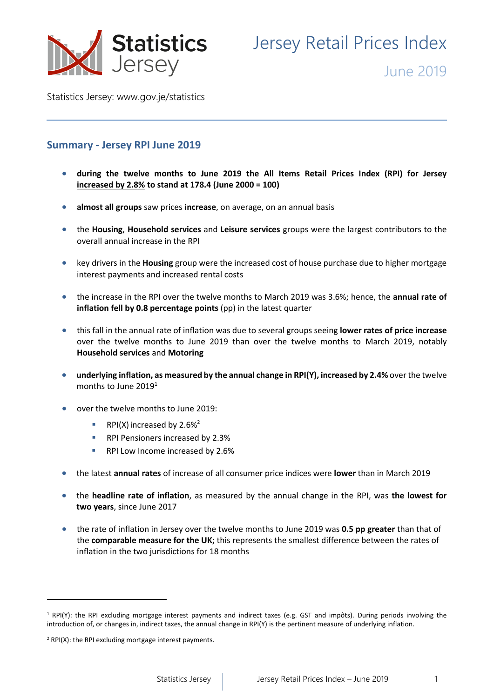

Jersey Retail Prices Index

June 2019

Statistics Jersey: [www.gov.je/statistics](https://www.gov.je/statistics)

# **Summary - Jersey RPI June 2019**

- **during the twelve months to June 2019 the All Items Retail Prices Index (RPI) for Jersey increased by 2.8% to stand at 178.4 (June 2000 = 100)**
- **almost all groups** saw prices **increase**, on average, on an annual basis
- the **Housing**, **Household services** and **Leisure services** groups were the largest contributors to the overall annual increase in the RPI
- key drivers in the **Housing** group were the increased cost of house purchase due to higher mortgage interest payments and increased rental costs
- the increase in the RPI over the twelve months to March 2019 was 3.6%; hence, the **annual rate of inflation fell by 0.8 percentage points** (pp) in the latest quarter
- this fall in the annual rate of inflation was due to several groups seeing **lower rates of price increase** over the twelve months to June 2019 than over the twelve months to March 2019, notably **Household services** and **Motoring**
- **underlying inflation, as measured by the annual change in RPI(Y), increased by 2.4%** over the twelve months to June 2019<sup>1</sup>
- over the twelve months to June 2019:
	- RPI(X) increased by  $2.6\%^2$
	- RPI Pensioners increased by 2.3%
	- RPI Low Income increased by 2.6%
- the latest **annual rates** of increase of all consumer price indices were **lower** than in March 2019
- the **headline rate of inflation**, as measured by the annual change in the RPI, was **the lowest for two years**, since June 2017
- the rate of inflation in Jersey over the twelve months to June 2019 was **0.5 pp greater** than that of the **comparable measure for the UK;** this represents the smallest difference between the rates of inflation in the two jurisdictions for 18 months

**.** 

<sup>1</sup> RPI(Y): the RPI excluding mortgage interest payments and indirect taxes (e.g. GST and impôts). During periods involving the introduction of, or changes in, indirect taxes, the annual change in RPI(Y) is the pertinent measure of underlying inflation.

<sup>2</sup> RPI(X): the RPI excluding mortgage interest payments.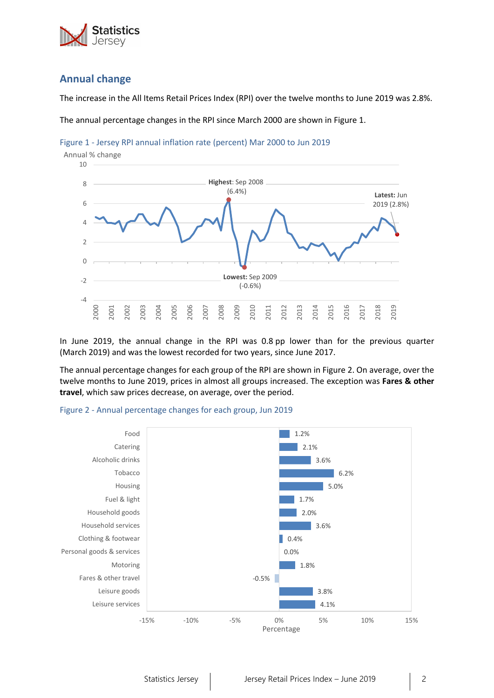

# **Annual change**

The increase in the All Items Retail Prices Index (RPI) over the twelve months to June 2019 was 2.8%.

The annual percentage changes in the RPI since March 2000 are shown in Figure 1.





In June 2019, the annual change in the RPI was 0.8 pp lower than for the previous quarter (March 2019) and was the lowest recorded for two years, since June 2017.

The annual percentage changes for each group of the RPI are shown in Figure 2. On average, over the twelve months to June 2019, prices in almost all groups increased. The exception was **Fares & other travel**, which saw prices decrease, on average, over the period.



#### Figure 2 - Annual percentage changes for each group, Jun 2019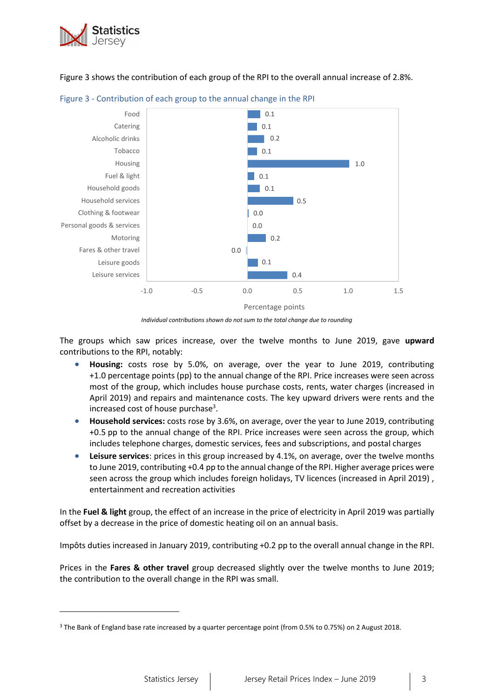

**.** 

Figure 3 shows the contribution of each group of the RPI to the overall annual increase of 2.8%.





The groups which saw prices increase, over the twelve months to June 2019, gave **upward** contributions to the RPI, notably:

- **Housing:** costs rose by 5.0%, on average, over the year to June 2019, contributing +1.0 percentage points (pp) to the annual change of the RPI. Price increases were seen across most of the group, which includes house purchase costs, rents, water charges (increased in April 2019) and repairs and maintenance costs. The key upward drivers were rents and the increased cost of house purchase<sup>3</sup>.
- **Household services:** costs rose by 3.6%, on average, over the year to June 2019, contributing +0.5 pp to the annual change of the RPI. Price increases were seen across the group, which includes telephone charges, domestic services, fees and subscriptions, and postal charges
- **Leisure services**: prices in this group increased by 4.1%, on average, over the twelve months to June 2019, contributing +0.4 pp to the annual change of the RPI. Higher average prices were seen across the group which includes foreign holidays, TV licences (increased in April 2019) , entertainment and recreation activities

In the **Fuel & light** group, the effect of an increase in the price of electricity in April 2019 was partially offset by a decrease in the price of domestic heating oil on an annual basis.

Impôts duties increased in January 2019, contributing +0.2 pp to the overall annual change in the RPI.

Prices in the **Fares & other travel** group decreased slightly over the twelve months to June 2019; the contribution to the overall change in the RPI was small.

*Individual contributions shown do not sum to the total change due to rounding*

<sup>3</sup> The Bank of England base rate increased by a quarter percentage point (from 0.5% to 0.75%) on 2 August 2018.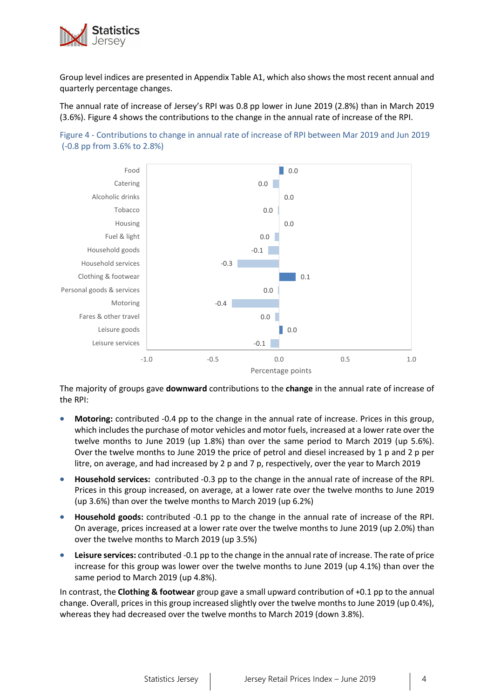

Group level indices are presented in Appendix Table A1, which also shows the most recent annual and quarterly percentage changes.

The annual rate of increase of Jersey's RPI was 0.8 pp lower in June 2019 (2.8%) than in March 2019 (3.6%). Figure 4 shows the contributions to the change in the annual rate of increase of the RPI.





The majority of groups gave **downward** contributions to the **change** in the annual rate of increase of the RPI:

- **Motoring:** contributed -0.4 pp to the change in the annual rate of increase. Prices in this group, which includes the purchase of motor vehicles and motor fuels, increased at a lower rate over the twelve months to June 2019 (up 1.8%) than over the same period to March 2019 (up 5.6%). Over the twelve months to June 2019 the price of petrol and diesel increased by 1 p and 2 p per litre, on average, and had increased by 2 p and 7 p, respectively, over the year to March 2019
- **Household services:** contributed -0.3 pp to the change in the annual rate of increase of the RPI. Prices in this group increased, on average, at a lower rate over the twelve months to June 2019 (up 3.6%) than over the twelve months to March 2019 (up 6.2%)
- **Household goods:** contributed -0.1 pp to the change in the annual rate of increase of the RPI. On average, prices increased at a lower rate over the twelve months to June 2019 (up 2.0%) than over the twelve months to March 2019 (up 3.5%)
- **Leisure services:** contributed -0.1 pp to the change in the annual rate of increase. The rate of price increase for this group was lower over the twelve months to June 2019 (up 4.1%) than over the same period to March 2019 (up 4.8%).

In contrast, the **Clothing & footwear** group gave a small upward contribution of +0.1 pp to the annual change. Overall, prices in this group increased slightly over the twelve months to June 2019 (up 0.4%), whereas they had decreased over the twelve months to March 2019 (down 3.8%).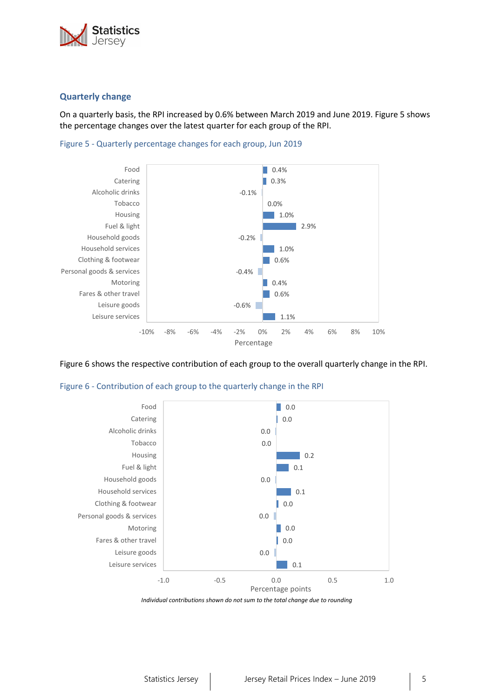

## **Quarterly change**

On a quarterly basis, the RPI increased by 0.6% between March 2019 and June 2019. Figure 5 shows the percentage changes over the latest quarter for each group of the RPI.





Figure 6 shows the respective contribution of each group to the overall quarterly change in the RPI.



Figure 6 - Contribution of each group to the quarterly change in the RPI

*Individual contributions shown do not sum to the total change due to rounding*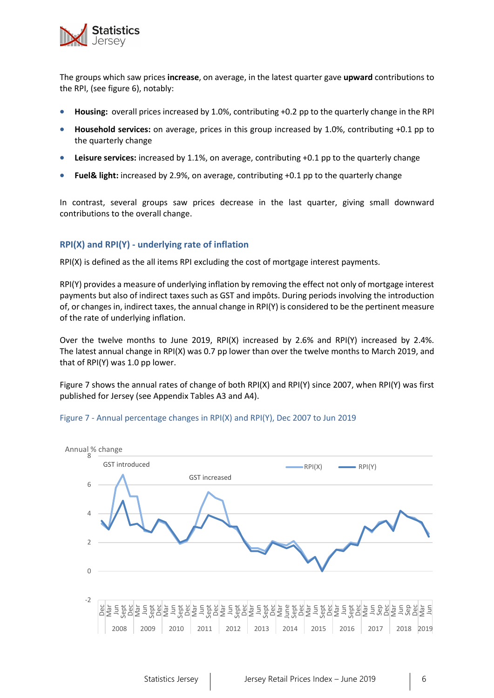

The groups which saw prices **increase**, on average, in the latest quarter gave **upward** contributions to the RPI, (see figure 6), notably:

- **Housing:** overall prices increased by 1.0%, contributing +0.2 pp to the quarterly change in the RPI
- **Household services:** on average, prices in this group increased by 1.0%, contributing +0.1 pp to the quarterly change
- **Leisure services:** increased by 1.1%, on average, contributing +0.1 pp to the quarterly change
- **Fuel& light:** increased by 2.9%, on average, contributing +0.1 pp to the quarterly change

In contrast, several groups saw prices decrease in the last quarter, giving small downward contributions to the overall change.

### **RPI(X) and RPI(Y) - underlying rate of inflation**

RPI(X) is defined as the all items RPI excluding the cost of mortgage interest payments.

RPI(Y) provides a measure of underlying inflation by removing the effect not only of mortgage interest payments but also of indirect taxes such as GST and impôts. During periods involving the introduction of, or changes in, indirect taxes, the annual change in RPI(Y) is considered to be the pertinent measure of the rate of underlying inflation.

Over the twelve months to June 2019, RPI(X) increased by 2.6% and RPI(Y) increased by 2.4%. The latest annual change in RPI(X) was 0.7 pp lower than over the twelve months to March 2019, and that of RPI(Y) was 1.0 pp lower.

Figure 7 shows the annual rates of change of both RPI(X) and RPI(Y) since 2007, when RPI(Y) was first published for Jersey (see Appendix Tables A3 and A4).



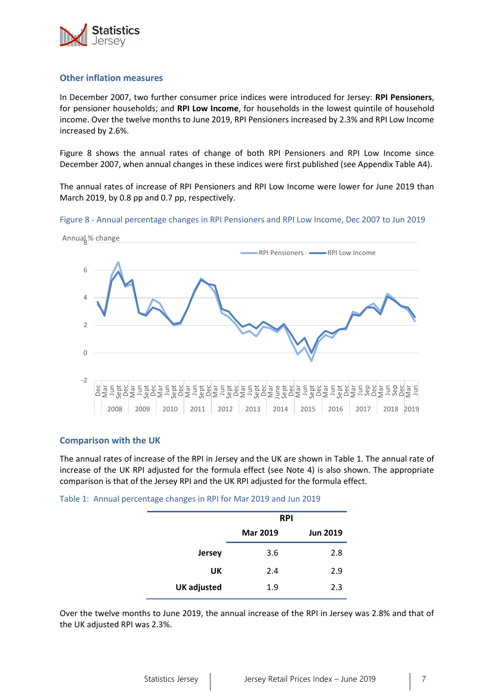

### **Other inflation measures**

In December 2007, two further consumer price indices were introduced for Jersey: **RPI Pensioners**, for pensioner households; and **RPI Low Income**, for households in the lowest quintile of household income. Over the twelve months to June 2019, RPI Pensioners increased by 2.3% and RPI Low Income increased by 2.6%.

Figure 8 shows the annual rates of change of both RPI Pensioners and RPI Low Income since December 2007, when annual changes in these indices were first published (see Appendix Table A4).

The annual rates of increase of RPI Pensioners and RPI Low Income were lower for June 2019 than March 2019, by 0.8 pp and 0.7 pp, respectively.

Figure 8 - Annual percentage changes in RPI Pensioners and RPI Low Income, Dec 2007 to Jun 2019



#### **Comparison with the UK**

The annual rates of increase of the RPI in Jersey and the UK are shown in Table 1. The annual rate of increase of the UK RPI adjusted for the formula effect (see Note 4) is also shown. The appropriate comparison is that of the Jersey RPI and the UK RPI adjusted for the formula effect.

Table 1: Annual percentage changes in RPI for Mar 2019 and Jun 2019

|                    | <b>RPI</b>      |                 |
|--------------------|-----------------|-----------------|
|                    | <b>Mar 2019</b> | <b>Jun 2019</b> |
| <b>Jersey</b>      | 3.6             | 2.8             |
| UK                 | 2.4             | 2.9             |
| <b>UK</b> adjusted | 1.9             | 2.3             |

Over the twelve months to June 2019, the annual increase of the RPI in Jersey was 2.8% and that of the UK adjusted RPI was 2.3%.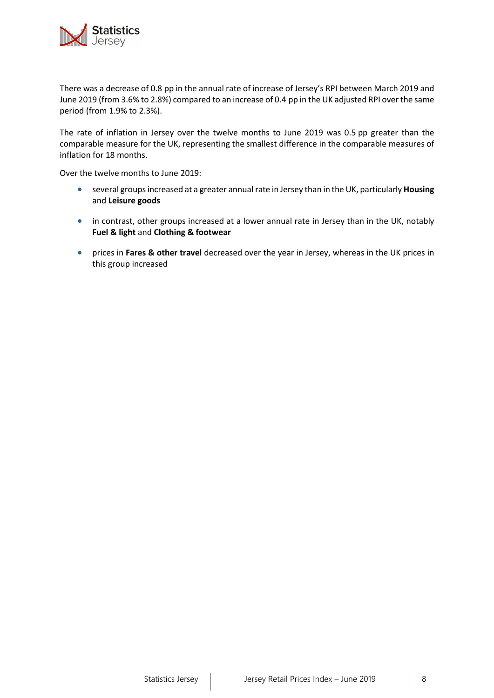

There was a decrease of 0.8 pp in the annual rate of increase of Jersey's RPI between March 2019 and June 2019 (from 3.6% to 2.8%) compared to an increase of 0.4 pp in the UK adjusted RPI over the same period (from 1.9% to 2.3%).

The rate of inflation in Jersey over the twelve months to June 2019 was 0.5 pp greater than the comparable measure for the UK, representing the smallest difference in the comparable measures of inflation for 18 months.

Over the twelve months to June 2019:

- several groups increased at a greater annual rate in Jersey than in the UK, particularly **Housing**  and **Leisure goods**
- in contrast, other groups increased at a lower annual rate in Jersey than in the UK, notably **Fuel & light** and **Clothing & footwear**
- prices in **Fares & other travel** decreased over the year in Jersey, whereas in the UK prices in this group increased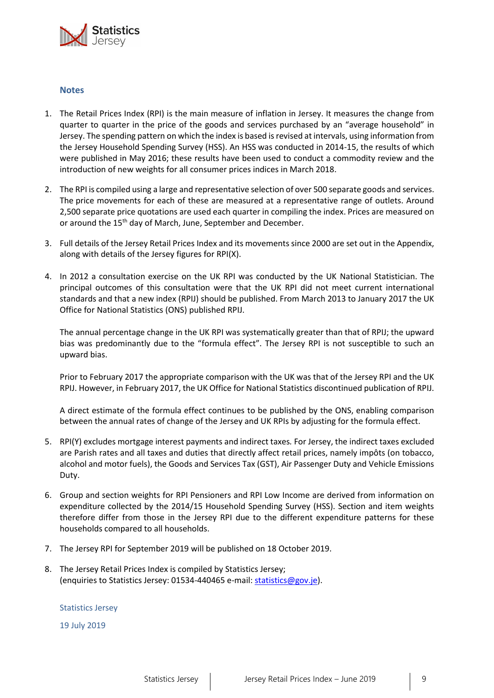

#### **Notes**

- 1. The Retail Prices Index (RPI) is the main measure of inflation in Jersey. It measures the change from quarter to quarter in the price of the goods and services purchased by an "average household" in Jersey. The spending pattern on which the index is based is revised at intervals, using information from the Jersey Household Spending Survey (HSS). An HSS was conducted in 2014-15, the results of which were published in May 2016; these results have been used to conduct a commodity review and the introduction of new weights for all consumer prices indices in March 2018.
- 2. The RPI is compiled using a large and representative selection of over 500 separate goods and services. The price movements for each of these are measured at a representative range of outlets. Around 2,500 separate price quotations are used each quarter in compiling the index. Prices are measured on or around the 15<sup>th</sup> day of March, June, September and December.
- 3. Full details of the Jersey Retail Prices Index and its movements since 2000 are set out in the Appendix, along with details of the Jersey figures for RPI(X).
- 4. In 2012 a consultation exercise on the UK RPI was conducted by the UK National Statistician. The principal outcomes of this consultation were that the UK RPI did not meet current international standards and that a new index (RPIJ) should be published. From March 2013 to January 2017 the UK Office for National Statistics (ONS) published RPIJ.

The annual percentage change in the UK RPI was systematically greater than that of RPIJ; the upward bias was predominantly due to the "formula effect". The Jersey RPI is not susceptible to such an upward bias.

Prior to February 2017 the appropriate comparison with the UK was that of the Jersey RPI and the UK RPIJ. However, in February 2017, the UK Office for National Statistics discontinued publication of RPIJ.

A direct estimate of the formula effect continues to be published by the ONS, enabling comparison between the annual rates of change of the Jersey and UK RPIs by adjusting for the formula effect.

- 5. RPI(Y) excludes mortgage interest payments and indirect taxes*.* For Jersey, the indirect taxes excluded are Parish rates and all taxes and duties that directly affect retail prices, namely impôts (on tobacco, alcohol and motor fuels), the Goods and Services Tax (GST), Air Passenger Duty and Vehicle Emissions Duty.
- 6. Group and section weights for RPI Pensioners and RPI Low Income are derived from information on expenditure collected by the 2014/15 Household Spending Survey (HSS). Section and item weights therefore differ from those in the Jersey RPI due to the different expenditure patterns for these households compared to all households.
- 7. The Jersey RPI for September 2019 will be published on 18 October 2019.
- 8. The Jersey Retail Prices Index is compiled by Statistics Jersey; (enquiries to Statistics Jersey: 01534-440465 e-mail: [statistics@gov.je\)](mailto:statistics@gov.je).

#### Statistics Jersey

19 July 2019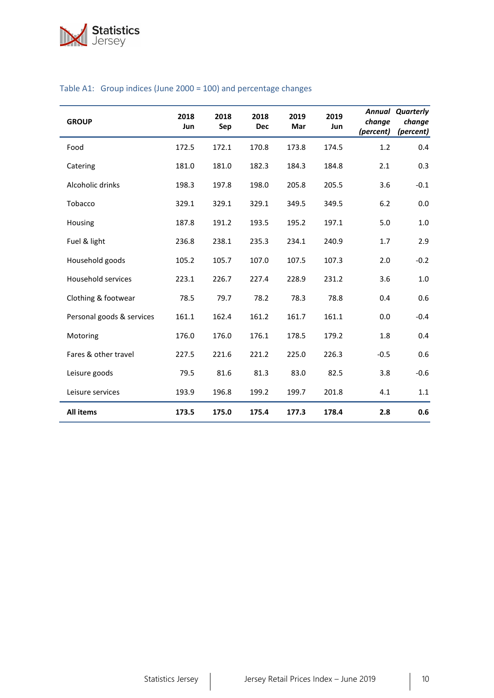

| <b>GROUP</b>              | 2018<br>Jun | 2018<br>Sep | 2018<br><b>Dec</b> | 2019<br>Mar | 2019<br>Jun | change<br>(percent) | <b>Annual Quarterly</b><br>change<br>(percent) |
|---------------------------|-------------|-------------|--------------------|-------------|-------------|---------------------|------------------------------------------------|
| Food                      | 172.5       | 172.1       | 170.8              | 173.8       | 174.5       | 1.2                 | 0.4                                            |
| Catering                  | 181.0       | 181.0       | 182.3              | 184.3       | 184.8       | 2.1                 | 0.3                                            |
| Alcoholic drinks          | 198.3       | 197.8       | 198.0              | 205.8       | 205.5       | 3.6                 | $-0.1$                                         |
| Tobacco                   | 329.1       | 329.1       | 329.1              | 349.5       | 349.5       | 6.2                 | 0.0                                            |
| Housing                   | 187.8       | 191.2       | 193.5              | 195.2       | 197.1       | 5.0                 | 1.0                                            |
| Fuel & light              | 236.8       | 238.1       | 235.3              | 234.1       | 240.9       | 1.7                 | 2.9                                            |
| Household goods           | 105.2       | 105.7       | 107.0              | 107.5       | 107.3       | 2.0                 | $-0.2$                                         |
| <b>Household services</b> | 223.1       | 226.7       | 227.4              | 228.9       | 231.2       | 3.6                 | 1.0                                            |
| Clothing & footwear       | 78.5        | 79.7        | 78.2               | 78.3        | 78.8        | 0.4                 | 0.6                                            |
| Personal goods & services | 161.1       | 162.4       | 161.2              | 161.7       | 161.1       | 0.0                 | $-0.4$                                         |
| Motoring                  | 176.0       | 176.0       | 176.1              | 178.5       | 179.2       | 1.8                 | 0.4                                            |
| Fares & other travel      | 227.5       | 221.6       | 221.2              | 225.0       | 226.3       | $-0.5$              | 0.6                                            |
| Leisure goods             | 79.5        | 81.6        | 81.3               | 83.0        | 82.5        | 3.8                 | $-0.6$                                         |
| Leisure services          | 193.9       | 196.8       | 199.2              | 199.7       | 201.8       | 4.1                 | 1.1                                            |
| <b>All items</b>          | 173.5       | 175.0       | 175.4              | 177.3       | 178.4       | 2.8                 | 0.6                                            |

## Table A1: Group indices (June 2000 = 100) and percentage changes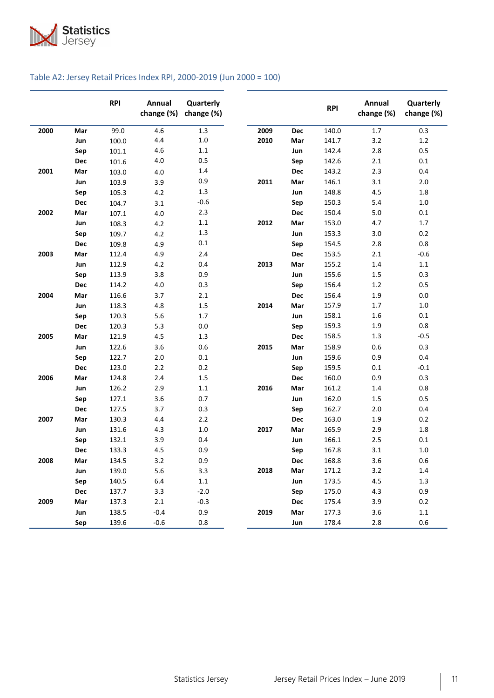

### Table A2: Jersey Retail Prices Index RPI, 2000-2019 (Jun 2000 = 100)

|      |     | <b>RPI</b> | Annual<br>change (%) | Quarterly<br>change (%) |      |     | <b>RPI</b> | Annual<br>change (%) | Quarterly<br>change (%) |
|------|-----|------------|----------------------|-------------------------|------|-----|------------|----------------------|-------------------------|
| 2000 | Mar | 99.0       | 4.6                  | 1.3                     | 2009 | Dec | 140.0      | 1.7                  | 0.3                     |
|      | Jun | 100.0      | 4.4                  | $1.0\,$                 | 2010 | Mar | 141.7      | 3.2                  | 1.2                     |
|      | Sep | 101.1      | 4.6                  | $1.1\,$                 |      | Jun | 142.4      | 2.8                  | 0.5                     |
|      | Dec | 101.6      | 4.0                  | 0.5                     |      | Sep | 142.6      | 2.1                  | 0.1                     |
| 2001 | Mar | 103.0      | 4.0                  | 1.4                     |      | Dec | 143.2      | 2.3                  | 0.4                     |
|      | Jun | 103.9      | 3.9                  | 0.9                     | 2011 | Mar | 146.1      | 3.1                  | 2.0                     |
|      | Sep | 105.3      | 4.2                  | 1.3                     |      | Jun | 148.8      | 4.5                  | 1.8                     |
|      | Dec | 104.7      | 3.1                  | $-0.6$                  |      | Sep | 150.3      | 5.4                  | $1.0$                   |
| 2002 | Mar | 107.1      | 4.0                  | 2.3                     |      | Dec | 150.4      | 5.0                  | 0.1                     |
|      | Jun | 108.3      | 4.2                  | $1.1$                   | 2012 | Mar | 153.0      | 4.7                  | $1.7$                   |
|      | Sep | 109.7      | 4.2                  | $1.3\,$                 |      | Jun | 153.3      | 3.0                  | 0.2                     |
|      | Dec | 109.8      | 4.9                  | $0.1\,$                 |      | Sep | 154.5      | 2.8                  | 0.8                     |
| 2003 | Mar | 112.4      | 4.9                  | 2.4                     |      | Dec | 153.5      | 2.1                  | $-0.6$                  |
|      | Jun | 112.9      | 4.2                  | 0.4                     | 2013 | Mar | 155.2      | 1.4                  | $1.1\,$                 |
|      | Sep | 113.9      | 3.8                  | 0.9                     |      | Jun | 155.6      | 1.5                  | 0.3                     |
|      | Dec | 114.2      | 4.0                  | 0.3                     |      | Sep | 156.4      | 1.2                  | 0.5                     |
| 2004 | Mar | 116.6      | 3.7                  | 2.1                     |      | Dec | 156.4      | 1.9                  | 0.0                     |
|      | Jun | 118.3      | 4.8                  | 1.5                     | 2014 | Mar | 157.9      | 1.7                  | $1.0$                   |
|      | Sep | 120.3      | 5.6                  | 1.7                     |      | Jun | 158.1      | 1.6                  | $0.1\,$                 |
|      | Dec | 120.3      | 5.3                  | $0.0\,$                 |      | Sep | 159.3      | 1.9                  | 0.8                     |
| 2005 | Mar | 121.9      | 4.5                  | 1.3                     |      | Dec | 158.5      | 1.3                  | $-0.5$                  |
|      | Jun | 122.6      | 3.6                  | 0.6                     | 2015 | Mar | 158.9      | 0.6                  | 0.3                     |
|      | Sep | 122.7      | 2.0                  | 0.1                     |      | Jun | 159.6      | 0.9                  | 0.4                     |
|      | Dec | 123.0      | 2.2                  | 0.2                     |      | Sep | 159.5      | 0.1                  | $-0.1$                  |
| 2006 | Mar | 124.8      | 2.4                  | 1.5                     |      | Dec | 160.0      | 0.9                  | 0.3                     |
|      | Jun | 126.2      | 2.9                  | $1.1\,$                 | 2016 | Mar | 161.2      | 1.4                  | 0.8                     |
|      | Sep | 127.1      | 3.6                  | 0.7                     |      | Jun | 162.0      | 1.5                  | 0.5                     |
|      | Dec | 127.5      | 3.7                  | 0.3                     |      | Sep | 162.7      | 2.0                  | 0.4                     |
| 2007 | Mar | 130.3      | 4.4                  | $2.2$                   |      | Dec | 163.0      | 1.9                  | 0.2                     |
|      | Jun | 131.6      | 4.3                  | $1.0\,$                 | 2017 | Mar | 165.9      | 2.9                  | 1.8                     |
|      | Sep | 132.1      | 3.9                  | 0.4                     |      | Jun | 166.1      | 2.5                  | 0.1                     |
|      | Dec | 133.3      | 4.5                  | 0.9                     |      | Sep | 167.8      | 3.1                  | $1.0\,$                 |
| 2008 | Mar | 134.5      | 3.2                  | 0.9                     |      | Dec | 168.8      | 3.6                  | 0.6                     |
|      | Jun | 139.0      | 5.6                  | 3.3                     | 2018 | Mar | 171.2      | 3.2                  | 1.4                     |
|      | Sep | 140.5      | 6.4                  | $1.1\,$                 |      | Jun | 173.5      | 4.5                  | $1.3$                   |
|      | Dec | 137.7      | 3.3                  | $-2.0$                  |      | Sep | 175.0      | 4.3                  | 0.9                     |
| 2009 | Mar | 137.3      | $2.1\,$              | $-0.3$                  |      | Dec | 175.4      | 3.9                  | 0.2                     |
|      | Jun | 138.5      | $-0.4$               | 0.9                     | 2019 | Mar | 177.3      | 3.6                  | 1.1                     |
|      | Sep | 139.6      | $-0.6$               | 0.8                     |      | Jun | 178.4      | 2.8                  | 0.6                     |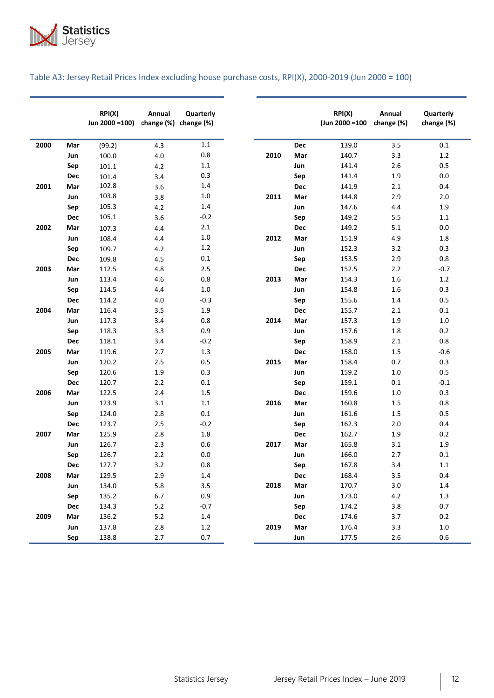

| Table A3: Jersey Retail Prices Index excluding house purchase costs, RPI(X), 2000-2019 (Jun 2000 = 100) |  |  |  |
|---------------------------------------------------------------------------------------------------------|--|--|--|
|---------------------------------------------------------------------------------------------------------|--|--|--|

|      |            | RPI(X)<br>Jun 2000 = 100) | Annual  | Quarterly<br>change (%) change (%) |      |            | RPI(X)<br>(Jun 2000 = 100 | Annual<br>change (%) | Quarterly<br>change (%) |
|------|------------|---------------------------|---------|------------------------------------|------|------------|---------------------------|----------------------|-------------------------|
| 2000 | Mar        | (99.2)                    | 4.3     | $1.1\,$                            |      | <b>Dec</b> | 139.0                     | 3.5                  | 0.1                     |
|      | Jun        | 100.0                     | 4.0     | 0.8                                | 2010 | Mar        | 140.7                     | 3.3                  | $1.2\,$                 |
|      | Sep        | 101.1                     | 4.2     | $1.1\,$                            |      | Jun        | 141.4                     | 2.6                  | 0.5                     |
|      | Dec        | 101.4                     | 3.4     | 0.3                                |      | Sep        | 141.4                     | 1.9                  | 0.0                     |
| 2001 | Mar        | 102.8                     | 3.6     | 1.4                                |      | <b>Dec</b> | 141.9                     | 2.1                  | 0.4                     |
|      | Jun        | 103.8                     | 3.8     | $1.0\,$                            | 2011 | Mar        | 144.8                     | 2.9                  | 2.0                     |
|      | Sep        | 105.3                     | 4.2     | 1.4                                |      | Jun        | 147.6                     | 4.4                  | 1.9                     |
|      | Dec        | 105.1                     | 3.6     | $-0.2$                             |      | Sep        | 149.2                     | 5.5                  | 1.1                     |
| 2002 | Mar        | 107.3                     | 4.4     | 2.1                                |      | <b>Dec</b> | 149.2                     | 5.1                  | $0.0\,$                 |
|      | Jun        | 108.4                     | 4.4     | $1.0$                              | 2012 | Mar        | 151.9                     | 4.9                  | 1.8                     |
|      | Sep        | 109.7                     | 4.2     | 1.2                                |      | Jun        | 152.3                     | 3.2                  | 0.3                     |
|      | Dec        | 109.8                     | 4.5     | 0.1                                |      | Sep        | 153.5                     | 2.9                  | 0.8                     |
| 2003 | Mar        | 112.5                     | 4.8     | 2.5                                |      | Dec        | 152.5                     | 2.2                  | $-0.7$                  |
|      | Jun        | 113.4                     | 4.6     | 0.8                                | 2013 | Mar        | 154.3                     | 1.6                  | $1.2\,$                 |
|      | Sep        | 114.5                     | 4.4     | 1.0                                |      | Jun        | 154.8                     | 1.6                  | 0.3                     |
|      | Dec        | 114.2                     | 4.0     | $-0.3$                             |      | Sep        | 155.6                     | 1.4                  | 0.5                     |
| 2004 | Mar        | 116.4                     | 3.5     | 1.9                                |      | <b>Dec</b> | 155.7                     | 2.1                  | 0.1                     |
|      | Jun        | 117.3                     | 3.4     | 0.8                                | 2014 | Mar        | 157.3                     | 1.9                  | $1.0$                   |
|      | Sep        | 118.3                     | 3.3     | 0.9                                |      | Jun        | 157.6                     | 1.8                  | 0.2                     |
|      | Dec        | 118.1                     | 3.4     | $-0.2$                             |      | Sep        | 158.9                     | 2.1                  | 0.8                     |
| 2005 | Mar        | 119.6                     | 2.7     | 1.3                                |      | <b>Dec</b> | 158.0                     | 1.5                  | $-0.6$                  |
|      | Jun        | 120.2                     | 2.5     | 0.5                                | 2015 | Mar        | 158.4                     | 0.7                  | 0.3                     |
|      | Sep        | 120.6                     | 1.9     | 0.3                                |      | Jun        | 159.2                     | $1.0\,$              | 0.5                     |
|      | Dec        | 120.7                     | 2.2     | 0.1                                |      | Sep        | 159.1                     | 0.1                  | $-0.1$                  |
| 2006 | Mar        | 122.5                     | 2.4     | 1.5                                |      | Dec        | 159.6                     | $1.0\,$              | 0.3                     |
|      | Jun        | 123.9                     | 3.1     | $1.1\,$                            | 2016 | Mar        | 160.8                     | 1.5                  | 0.8                     |
|      | Sep        | 124.0                     | 2.8     | 0.1                                |      | Jun        | 161.6                     | 1.5                  | 0.5                     |
|      | Dec        | 123.7                     | 2.5     | $-0.2$                             |      | Sep        | 162.3                     | 2.0                  | 0.4                     |
| 2007 | Mar        | 125.9                     | 2.8     | 1.8                                |      | <b>Dec</b> | 162.7                     | 1.9                  | $0.2\,$                 |
|      | Jun        | 126.7                     | 2.3     | 0.6                                | 2017 | Mar        | 165.8                     | 3.1                  | 1.9                     |
|      | Sep        | 126.7                     | $2.2$   | 0.0                                |      | Jun        | 166.0                     | 2.7                  | $0.1\,$                 |
|      | <b>Dec</b> | 127.7                     | 3.2     | 0.8                                |      | Sep        | 167.8                     | 3.4                  | 1.1                     |
| 2008 | Mar        | 129.5                     | 2.9     | $1.4\,$                            |      | Dec        | 168.4                     | 3.5                  | 0.4                     |
|      | Jun        | 134.0                     | 5.8     | 3.5                                | 2018 | Mar        | 170.7                     | 3.0                  | $1.4\,$                 |
|      | Sep        | 135.2                     | 6.7     | 0.9                                |      | Jun        | 173.0                     | $4.2\,$              | $1.3\,$                 |
|      | Dec        | 134.3                     | $5.2$   | $-0.7$                             |      | Sep        | 174.2                     | 3.8                  | 0.7                     |
| 2009 | Mar        | 136.2                     | $5.2\,$ | $1.4\,$                            |      | Dec        | 174.6                     | 3.7                  | $0.2\,$                 |
|      | Jun        | 137.8                     | $2.8\,$ | $1.2\,$                            | 2019 | Mar        | 176.4                     | 3.3                  | $1.0\,$                 |
|      | Sep        | 138.8                     | 2.7     | 0.7                                |      | Jun        | 177.5                     | $2.6$                | $0.6\,$                 |